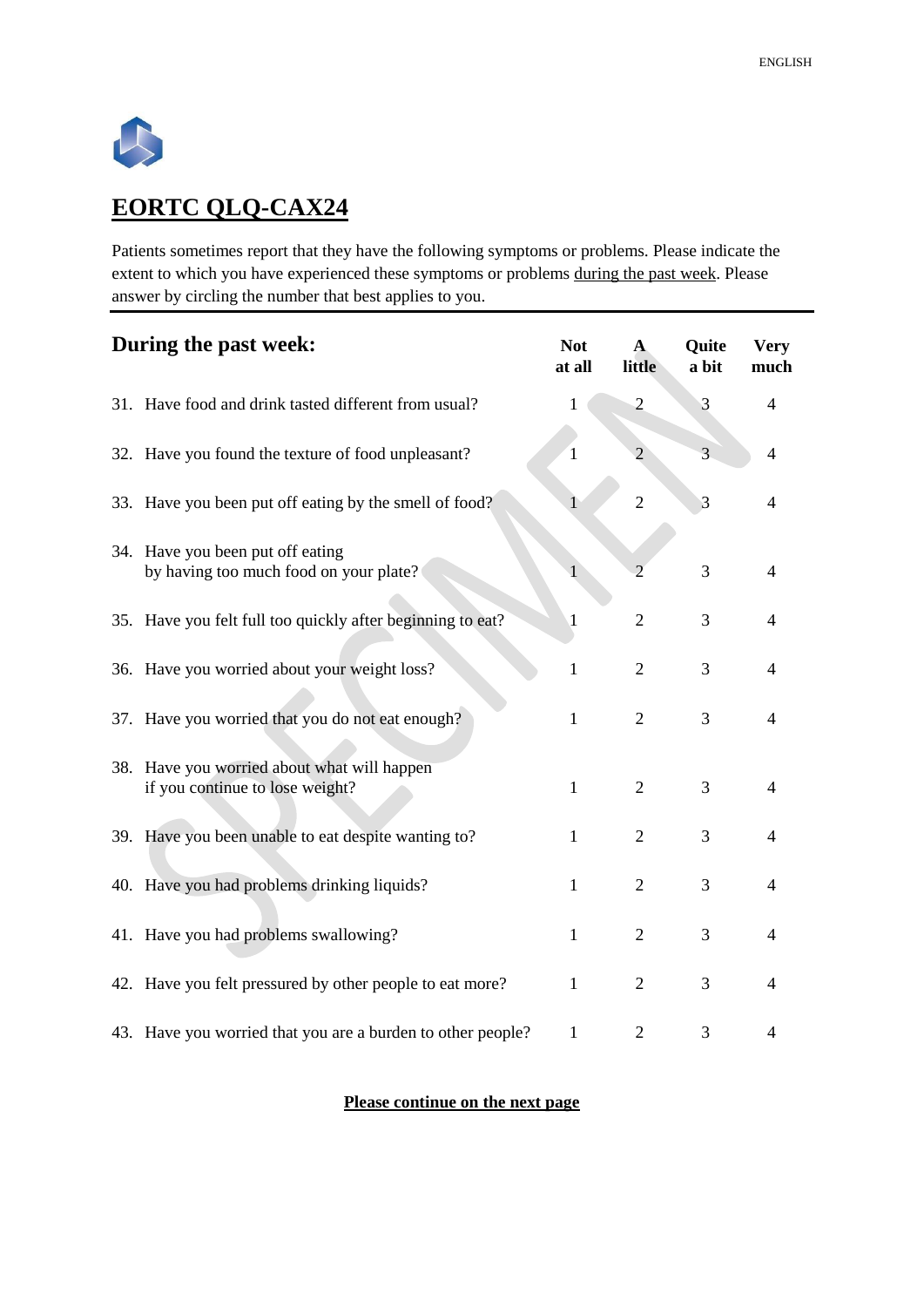

## **EORTC QLQ-CAX24**

Patients sometimes report that they have the following symptoms or problems. Please indicate the extent to which you have experienced these symptoms or problems during the past week. Please answer by circling the number that best applies to you.

| During the past week: |                                                                                | <b>Not</b><br>at all | $\mathbf{A}$<br>little | Quite<br>a bit | <b>Very</b><br>much |
|-----------------------|--------------------------------------------------------------------------------|----------------------|------------------------|----------------|---------------------|
|                       | 31. Have food and drink tasted different from usual?                           | 1                    | $\overline{c}$         | 3              | 4                   |
|                       | 32. Have you found the texture of food unpleasant?                             | 1                    | $\overline{2}$         | 3              | $\overline{4}$      |
|                       | 33. Have you been put off eating by the smell of food?                         |                      | $\overline{2}$         | 3              | 4                   |
|                       | 34. Have you been put off eating<br>by having too much food on your plate?     |                      | $\mathfrak{D}$         | 3              | 4                   |
|                       | 35. Have you felt full too quickly after beginning to eat?                     | $\mathbf{1}$         | $\overline{2}$         | 3              | 4                   |
|                       | 36. Have you worried about your weight loss?                                   | $\mathbf{1}$         | $\overline{2}$         | 3              | 4                   |
|                       | 37. Have you worried that you do not eat enough?                               | $\mathbf{1}$         | $\overline{2}$         | 3              | 4                   |
|                       | 38. Have you worried about what will happen<br>if you continue to lose weight? | $\mathbf{1}$         | $\overline{2}$         | 3              | 4                   |
|                       | 39. Have you been unable to eat despite wanting to?                            | 1                    | $\overline{2}$         | 3              | 4                   |
|                       | 40. Have you had problems drinking liquids?                                    | $\mathbf{1}$         | $\overline{2}$         | 3              | 4                   |
|                       | 41. Have you had problems swallowing?                                          | $\mathbf{1}$         | $\overline{2}$         | 3              | 4                   |
|                       | 42. Have you felt pressured by other people to eat more?                       | $\mathbf{1}$         | $\overline{2}$         | 3              | 4                   |
|                       | 43. Have you worried that you are a burden to other people?                    | $\mathbf{1}$         | $\overline{2}$         | 3              | 4                   |

## **Please continue on the next page**